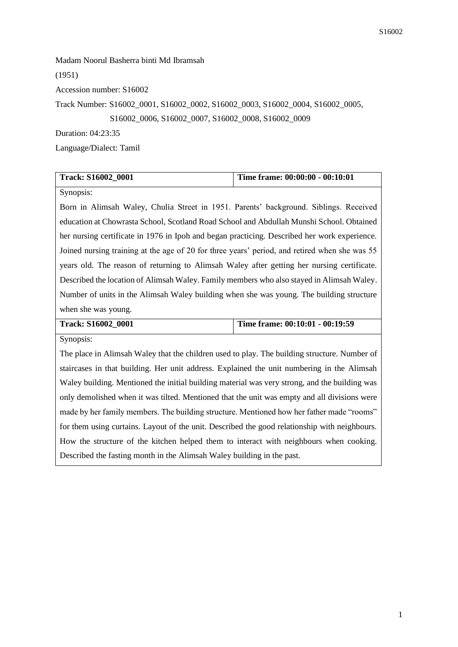Madam Noorul Basherra binti Md Ibramsah (1951) Accession number: S16002 Track Number: S16002\_0001, S16002\_0002, S16002\_0003, S16002\_0004, S16002\_0005, S16002\_0006, S16002\_0007, S16002\_0008, S16002\_0009 Duration: 04:23:35

Language/Dialect: Tamil

| <b>Track: S16002 0001</b> | Time frame: 00:00:00 - 00:10:01 |
|---------------------------|---------------------------------|

Synopsis:

Born in Alimsah Waley, Chulia Street in 1951. Parents' background. Siblings. Received education at Chowrasta School, Scotland Road School and Abdullah Munshi School. Obtained her nursing certificate in 1976 in Ipoh and began practicing. Described her work experience. Joined nursing training at the age of 20 for three years' period, and retired when she was 55 years old. The reason of returning to Alimsah Waley after getting her nursing certificate. Described the location of Alimsah Waley. Family members who also stayed in Alimsah Waley. Number of units in the Alimsah Waley building when she was young. The building structure when she was young.

| <b>Track: S16002 0001</b> | Time frame: 00:10:01 - 00:19:59 |
|---------------------------|---------------------------------|
| Synopsis:                 |                                 |

The place in Alimsah Waley that the children used to play. The building structure. Number of staircases in that building. Her unit address. Explained the unit numbering in the Alimsah Waley building. Mentioned the initial building material was very strong, and the building was only demolished when it was tilted. Mentioned that the unit was empty and all divisions were made by her family members. The building structure. Mentioned how her father made "rooms" for them using curtains. Layout of the unit. Described the good relationship with neighbours. How the structure of the kitchen helped them to interact with neighbours when cooking. Described the fasting month in the Alimsah Waley building in the past.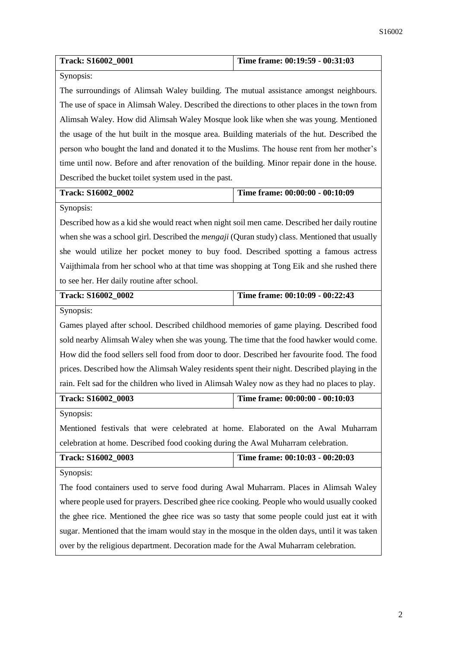| Track: S16002_0001                                                                            | Time frame: 00:19:59 - 00:31:03 |
|-----------------------------------------------------------------------------------------------|---------------------------------|
| Synopsis:                                                                                     |                                 |
| The surroundings of Alimsah Waley building. The mutual assistance amongst neighbours.         |                                 |
| The use of space in Alimsah Waley. Described the directions to other places in the town from  |                                 |
| Alimsah Waley. How did Alimsah Waley Mosque look like when she was young. Mentioned           |                                 |
| the usage of the hut built in the mosque area. Building materials of the hut. Described the   |                                 |
| person who bought the land and donated it to the Muslims. The house rent from her mother's    |                                 |
| time until now. Before and after renovation of the building. Minor repair done in the house.  |                                 |
| Described the bucket toilet system used in the past.                                          |                                 |
| Track: S16002_0002                                                                            | Time frame: 00:00:00 - 00:10:09 |
| Synopsis:                                                                                     |                                 |
| Described how as a kid she would react when night soil men came. Described her daily routine  |                                 |
| when she was a school girl. Described the mengaji (Quran study) class. Mentioned that usually |                                 |
| she would utilize her pocket money to buy food. Described spotting a famous actress           |                                 |
| Vaijthimala from her school who at that time was shopping at Tong Eik and she rushed there    |                                 |
| to see her. Her daily routine after school.                                                   |                                 |
| Track: S16002_0002                                                                            | Time frame: 00:10:09 - 00:22:43 |
| Synopsis:                                                                                     |                                 |
| Games played after school. Described childhood memories of game playing. Described food       |                                 |
| sold nearby Alimsah Waley when she was young. The time that the food hawker would come.       |                                 |
| How did the food sellers sell food from door to door. Described her favourite food. The food  |                                 |
| prices. Described how the Alimsah Waley residents spent their night. Described playing in the |                                 |
| rain. Felt sad for the children who lived in Alimsah Waley now as they had no places to play. |                                 |
| <b>Track: S16002 0003</b>                                                                     | Time frame: 00:00:00 - 00:10:03 |
| Synopsis:                                                                                     |                                 |
| Mentioned festivals that were celebrated at home. Elaborated on the Awal Muharram             |                                 |
| celebration at home. Described food cooking during the Awal Muharram celebration.             |                                 |
| Track: S16002_0003                                                                            | Time frame: 00:10:03 - 00:20:03 |
| Synopsis:                                                                                     |                                 |
| The food containers used to serve food during Awal Muharram. Places in Alimsah Waley          |                                 |
| where people used for prayers. Described ghee rice cooking. People who would usually cooked   |                                 |
| the ghee rice. Mentioned the ghee rice was so tasty that some people could just eat it with   |                                 |
| sugar. Mentioned that the imam would stay in the mosque in the olden days, until it was taken |                                 |
| over by the religious department. Decoration made for the Awal Muharram celebration.          |                                 |
|                                                                                               |                                 |
|                                                                                               |                                 |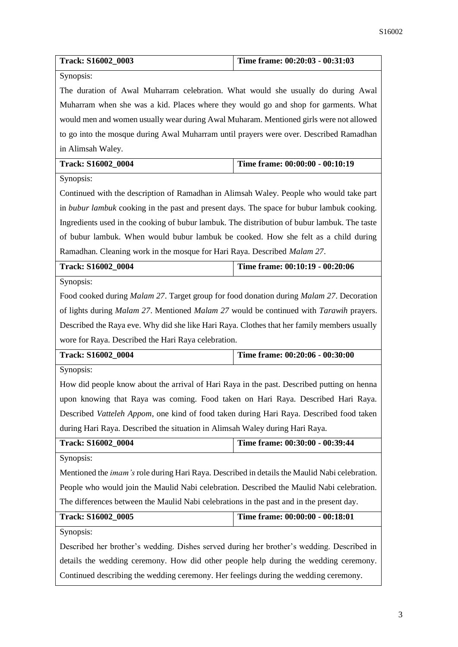| Track: S16002_0003                                                                                           | Time frame: 00:20:03 - 00:31:03 |
|--------------------------------------------------------------------------------------------------------------|---------------------------------|
| Synopsis:                                                                                                    |                                 |
| The duration of Awal Muharram celebration. What would she usually do during Awal                             |                                 |
| Muharram when she was a kid. Places where they would go and shop for garments. What                          |                                 |
| would men and women usually wear during Awal Muharam. Mentioned girls were not allowed                       |                                 |
| to go into the mosque during Awal Muharram until prayers were over. Described Ramadhan                       |                                 |
| in Alimsah Waley.                                                                                            |                                 |
| Track: S16002_0004                                                                                           | Time frame: 00:00:00 - 00:10:19 |
| Synopsis:                                                                                                    |                                 |
| Continued with the description of Ramadhan in Alimsah Waley. People who would take part                      |                                 |
| in <i>bubur lambuk</i> cooking in the past and present days. The space for bubur lambuk cooking.             |                                 |
| Ingredients used in the cooking of bubur lambuk. The distribution of bubur lambuk. The taste                 |                                 |
| of bubur lambuk. When would bubur lambuk be cooked. How she felt as a child during                           |                                 |
| Ramadhan. Cleaning work in the mosque for Hari Raya. Described Malam 27.                                     |                                 |
| Track: S16002_0004                                                                                           | Time frame: 00:10:19 - 00:20:06 |
| Synopsis:                                                                                                    |                                 |
| Food cooked during <i>Malam 27</i> . Target group for food donation during <i>Malam 27</i> . Decoration      |                                 |
| of lights during <i>Malam 27</i> . Mentioned <i>Malam 27</i> would be continued with <i>Tarawih</i> prayers. |                                 |
| Described the Raya eve. Why did she like Hari Raya. Clothes that her family members usually                  |                                 |
| wore for Raya. Described the Hari Raya celebration.                                                          |                                 |
| Track: S16002_0004                                                                                           | Time frame: 00:20:06 - 00:30:00 |
| Synopsis:                                                                                                    |                                 |
| How did people know about the arrival of Hari Raya in the past. Described putting on henna                   |                                 |
| upon knowing that Raya was coming. Food taken on Hari Raya. Described Hari Raya.                             |                                 |
| Described Vatteleh Appom, one kind of food taken during Hari Raya. Described food taken                      |                                 |
| during Hari Raya. Described the situation in Alimsah Waley during Hari Raya.                                 |                                 |
| Track: S16002_0004                                                                                           | Time frame: 00:30:00 - 00:39:44 |
| Synopsis:                                                                                                    |                                 |
| Mentioned the <i>imam's</i> role during Hari Raya. Described in details the Maulid Nabi celebration.         |                                 |
| People who would join the Maulid Nabi celebration. Described the Maulid Nabi celebration.                    |                                 |
| The differences between the Maulid Nabi celebrations in the past and in the present day.                     |                                 |
| Track: S16002_0005<br>Time frame: 00:00:00 - 00:18:01                                                        |                                 |
| Synopsis:                                                                                                    |                                 |
| Described her brother's wedding. Dishes served during her brother's wedding. Described in                    |                                 |
| details the wedding ceremony. How did other people help during the wedding ceremony.                         |                                 |
| Continued describing the wedding ceremony. Her feelings during the wedding ceremony.                         |                                 |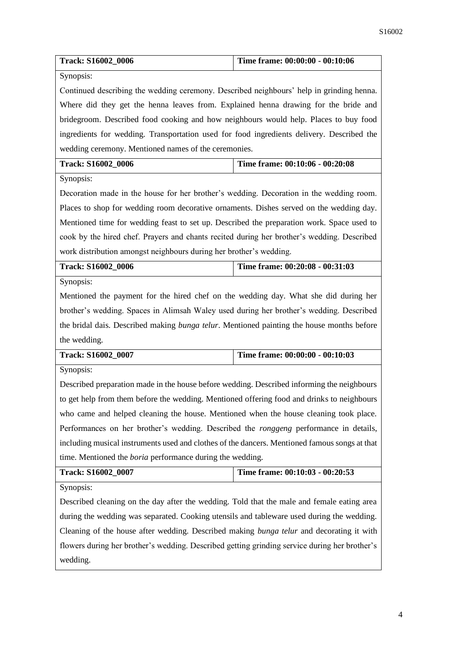| Synopsis:<br>Continued describing the wedding ceremony. Described neighbours' help in grinding henna. |  |
|-------------------------------------------------------------------------------------------------------|--|
|                                                                                                       |  |
|                                                                                                       |  |
| Where did they get the henna leaves from. Explained henna drawing for the bride and                   |  |
| bridegroom. Described food cooking and how neighbours would help. Places to buy food                  |  |
| ingredients for wedding. Transportation used for food ingredients delivery. Described the             |  |
| wedding ceremony. Mentioned names of the ceremonies.                                                  |  |
| Time frame: 00:10:06 - 00:20:08<br>Track: S16002_0006                                                 |  |
| Synopsis:                                                                                             |  |
| Decoration made in the house for her brother's wedding. Decoration in the wedding room.               |  |
| Places to shop for wedding room decorative ornaments. Dishes served on the wedding day.               |  |
| Mentioned time for wedding feast to set up. Described the preparation work. Space used to             |  |
| cook by the hired chef. Prayers and chants recited during her brother's wedding. Described            |  |
| work distribution amongst neighbours during her brother's wedding.                                    |  |
| Time frame: 00:20:08 - 00:31:03<br>Track: S16002_0006                                                 |  |
| Synopsis:                                                                                             |  |
| Mentioned the payment for the hired chef on the wedding day. What she did during her                  |  |
| brother's wedding. Spaces in Alimsah Waley used during her brother's wedding. Described               |  |
| the bridal dais. Described making <i>bunga telur</i> . Mentioned painting the house months before     |  |
| the wedding.                                                                                          |  |
| Time frame: 00:00:00 - 00:10:03<br>Track: S16002_0007                                                 |  |
| Synopsis:                                                                                             |  |
| Described preparation made in the house before wedding. Described informing the neighbours            |  |
| to get help from them before the wedding. Mentioned offering food and drinks to neighbours            |  |
| who came and helped cleaning the house. Mentioned when the house cleaning took place.                 |  |
| Performances on her brother's wedding. Described the <i>ronggeng</i> performance in details,          |  |
| including musical instruments used and clothes of the dancers. Mentioned famous songs at that         |  |
| time. Mentioned the <i>boria</i> performance during the wedding.                                      |  |
| Time frame: 00:10:03 - 00:20:53<br>Track: S16002_0007                                                 |  |
| Synopsis:                                                                                             |  |
| Described cleaning on the day after the wedding. Told that the male and female eating area            |  |
| during the wedding was separated. Cooking utensils and tableware used during the wedding.             |  |
| Cleaning of the house after wedding. Described making bunga telur and decorating it with              |  |
| flowers during her brother's wedding. Described getting grinding service during her brother's         |  |
| wedding.                                                                                              |  |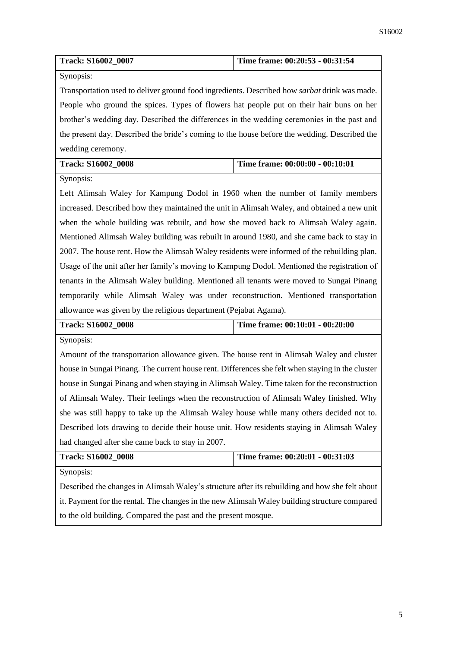| <b>Track: S16002 0007</b> | Time frame: 00:20:53 - 00:31:54 |
|---------------------------|---------------------------------|

Synopsis:

Transportation used to deliver ground food ingredients. Described how *sarbat* drink was made. People who ground the spices. Types of flowers hat people put on their hair buns on her brother's wedding day. Described the differences in the wedding ceremonies in the past and the present day. Described the bride's coming to the house before the wedding. Described the wedding ceremony.

|  | <b>Track: S16002 0008</b> | Time frame: $00:00:00 - 00:10:01$ |
|--|---------------------------|-----------------------------------|
|--|---------------------------|-----------------------------------|

Synopsis:

Left Alimsah Waley for Kampung Dodol in 1960 when the number of family members increased. Described how they maintained the unit in Alimsah Waley, and obtained a new unit when the whole building was rebuilt, and how she moved back to Alimsah Waley again. Mentioned Alimsah Waley building was rebuilt in around 1980, and she came back to stay in 2007. The house rent. How the Alimsah Waley residents were informed of the rebuilding plan. Usage of the unit after her family's moving to Kampung Dodol. Mentioned the registration of tenants in the Alimsah Waley building. Mentioned all tenants were moved to Sungai Pinang temporarily while Alimsah Waley was under reconstruction. Mentioned transportation allowance was given by the religious department (Pejabat Agama).

| <b>Track: S16002 0008</b> | Time frame: $00:10:01 - 00:20:00$ |
|---------------------------|-----------------------------------|
|                           |                                   |

Synopsis:

Amount of the transportation allowance given. The house rent in Alimsah Waley and cluster house in Sungai Pinang. The current house rent. Differences she felt when staying in the cluster house in Sungai Pinang and when staying in Alimsah Waley. Time taken for the reconstruction of Alimsah Waley. Their feelings when the reconstruction of Alimsah Waley finished. Why she was still happy to take up the Alimsah Waley house while many others decided not to. Described lots drawing to decide their house unit. How residents staying in Alimsah Waley had changed after she came back to stay in 2007.

| <b>Track: S16002 0008</b> | Time frame: 00:20:01 - 00:31:03 |
|---------------------------|---------------------------------|
| Synopsis:                 |                                 |

Described the changes in Alimsah Waley's structure after its rebuilding and how she felt about it. Payment for the rental. The changes in the new Alimsah Waley building structure compared to the old building. Compared the past and the present mosque.